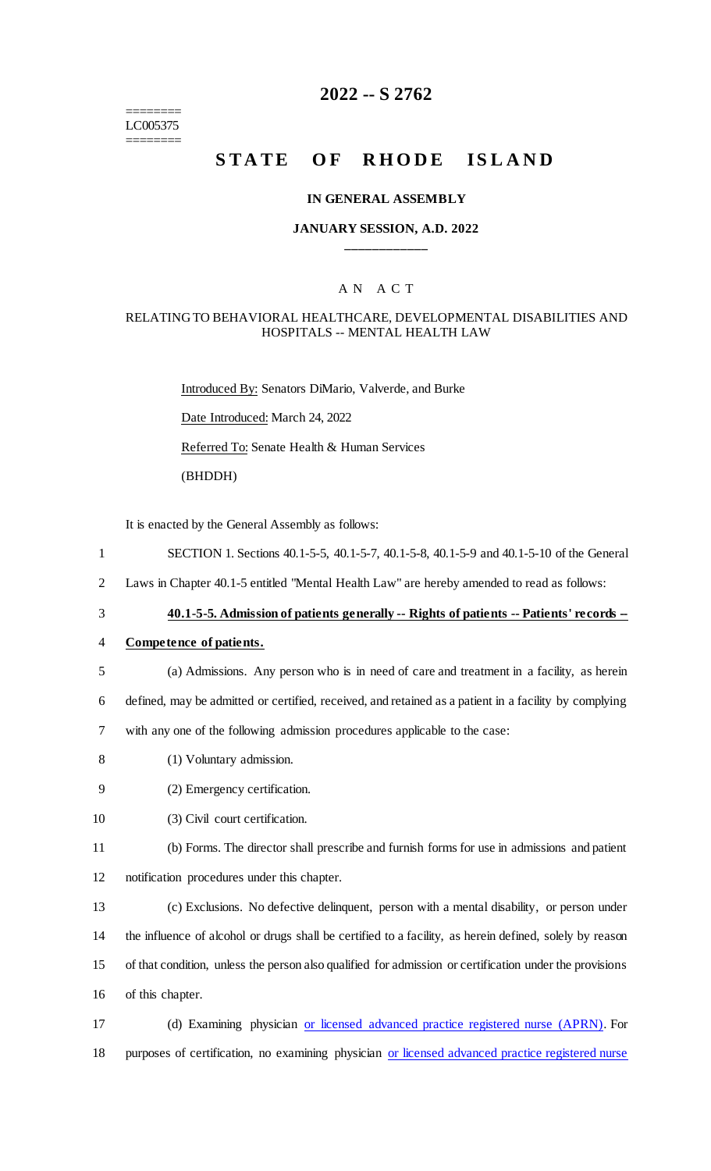======== LC005375 ========

# **2022 -- S 2762**

# **STATE OF RHODE ISLAND**

#### **IN GENERAL ASSEMBLY**

#### **JANUARY SESSION, A.D. 2022 \_\_\_\_\_\_\_\_\_\_\_\_**

#### A N A C T

#### RELATING TO BEHAVIORAL HEALTHCARE, DEVELOPMENTAL DISABILITIES AND HOSPITALS -- MENTAL HEALTH LAW

Introduced By: Senators DiMario, Valverde, and Burke Date Introduced: March 24, 2022 Referred To: Senate Health & Human Services (BHDDH)

It is enacted by the General Assembly as follows:

- 1 SECTION 1. Sections 40.1-5-5, 40.1-5-7, 40.1-5-8, 40.1-5-9 and 40.1-5-10 of the General
- 2 Laws in Chapter 40.1-5 entitled "Mental Health Law" are hereby amended to read as follows:
- 

### 3 **40.1-5-5. Admission of patients generally -- Rights of patients -- Patients' records --**

#### 4 **Competence of patients.**

5 (a) Admissions. Any person who is in need of care and treatment in a facility, as herein

6 defined, may be admitted or certified, received, and retained as a patient in a facility by complying

7 with any one of the following admission procedures applicable to the case:

- 8 (1) Voluntary admission.
- 9 (2) Emergency certification.
- 10 (3) Civil court certification.

11 (b) Forms. The director shall prescribe and furnish forms for use in admissions and patient 12 notification procedures under this chapter.

 (c) Exclusions. No defective delinquent, person with a mental disability, or person under the influence of alcohol or drugs shall be certified to a facility, as herein defined, solely by reason of that condition, unless the person also qualified for admission or certification under the provisions of this chapter.

17 (d) Examining physician or licensed advanced practice registered nurse (APRN). For 18 purposes of certification, no examining physician or licensed advanced practice registered nurse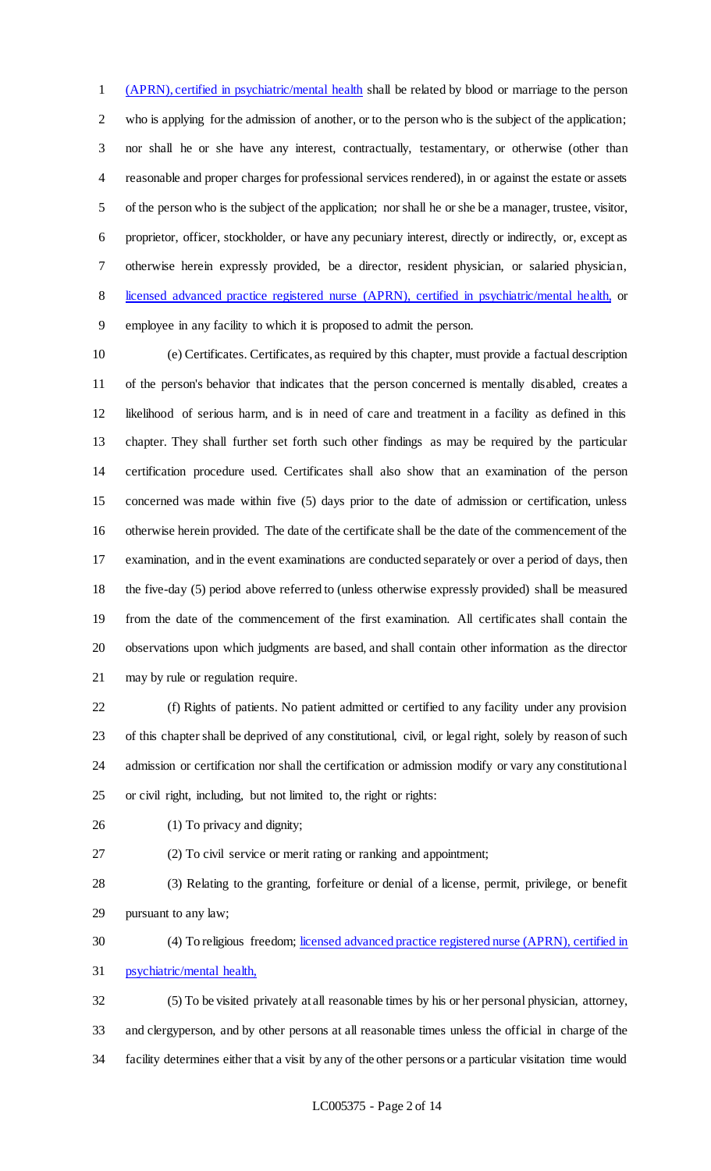(APRN), certified in psychiatric/mental health shall be related by blood or marriage to the person who is applying for the admission of another, or to the person who is the subject of the application; nor shall he or she have any interest, contractually, testamentary, or otherwise (other than reasonable and proper charges for professional services rendered), in or against the estate or assets of the person who is the subject of the application; nor shall he or she be a manager, trustee, visitor, proprietor, officer, stockholder, or have any pecuniary interest, directly or indirectly, or, except as otherwise herein expressly provided, be a director, resident physician, or salaried physician, licensed advanced practice registered nurse (APRN), certified in psychiatric/mental health, or employee in any facility to which it is proposed to admit the person.

 (e) Certificates. Certificates, as required by this chapter, must provide a factual description of the person's behavior that indicates that the person concerned is mentally disabled, creates a likelihood of serious harm, and is in need of care and treatment in a facility as defined in this chapter. They shall further set forth such other findings as may be required by the particular certification procedure used. Certificates shall also show that an examination of the person concerned was made within five (5) days prior to the date of admission or certification, unless otherwise herein provided. The date of the certificate shall be the date of the commencement of the examination, and in the event examinations are conducted separately or over a period of days, then the five-day (5) period above referred to (unless otherwise expressly provided) shall be measured from the date of the commencement of the first examination. All certificates shall contain the observations upon which judgments are based, and shall contain other information as the director may by rule or regulation require.

 (f) Rights of patients. No patient admitted or certified to any facility under any provision of this chapter shall be deprived of any constitutional, civil, or legal right, solely by reason of such admission or certification nor shall the certification or admission modify or vary any constitutional or civil right, including, but not limited to, the right or rights:

(1) To privacy and dignity;

(2) To civil service or merit rating or ranking and appointment;

 (3) Relating to the granting, forfeiture or denial of a license, permit, privilege, or benefit pursuant to any law;

30 (4) To religious freedom; licensed advanced practice registered nurse (APRN), certified in psychiatric/mental health,

 (5) To be visited privately at all reasonable times by his or her personal physician, attorney, and clergyperson, and by other persons at all reasonable times unless the official in charge of the facility determines either that a visit by any of the other persons or a particular visitation time would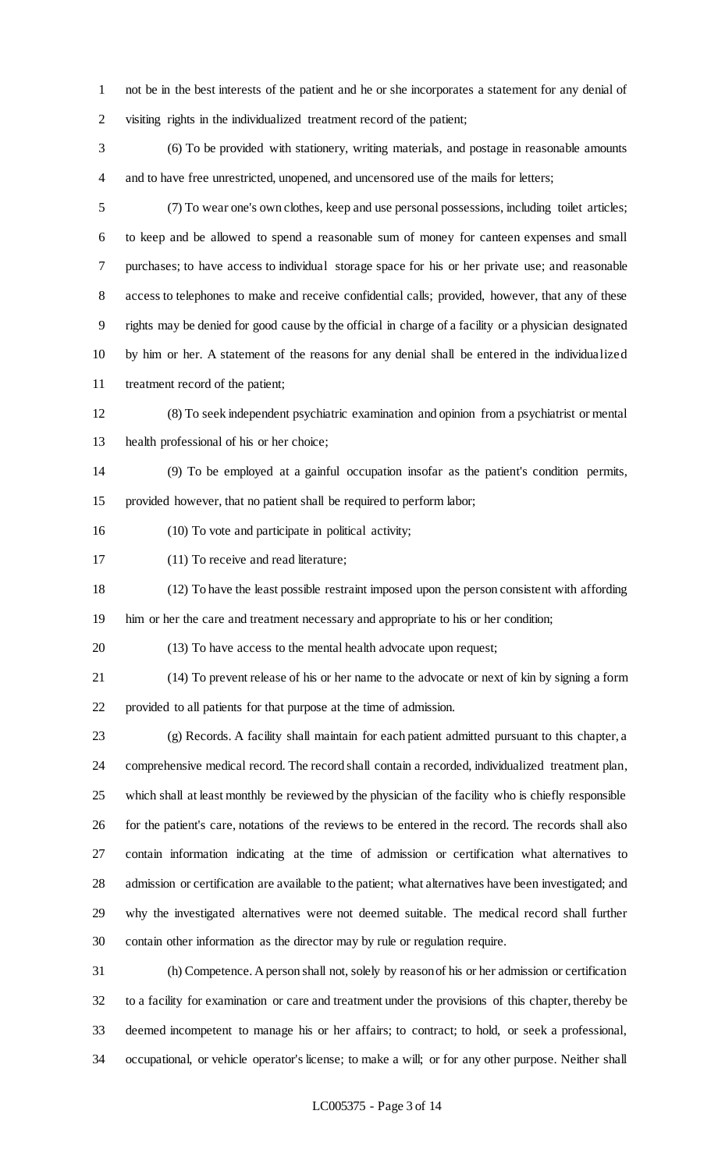not be in the best interests of the patient and he or she incorporates a statement for any denial of visiting rights in the individualized treatment record of the patient;

 (6) To be provided with stationery, writing materials, and postage in reasonable amounts and to have free unrestricted, unopened, and uncensored use of the mails for letters;

 (7) To wear one's own clothes, keep and use personal possessions, including toilet articles; to keep and be allowed to spend a reasonable sum of money for canteen expenses and small purchases; to have access to individual storage space for his or her private use; and reasonable access to telephones to make and receive confidential calls; provided, however, that any of these rights may be denied for good cause by the official in charge of a facility or a physician designated by him or her. A statement of the reasons for any denial shall be entered in the individualized treatment record of the patient;

 (8) To seek independent psychiatric examination and opinion from a psychiatrist or mental health professional of his or her choice;

 (9) To be employed at a gainful occupation insofar as the patient's condition permits, provided however, that no patient shall be required to perform labor;

(10) To vote and participate in political activity;

(11) To receive and read literature;

 (12) To have the least possible restraint imposed upon the person consistent with affording him or her the care and treatment necessary and appropriate to his or her condition;

(13) To have access to the mental health advocate upon request;

 (14) To prevent release of his or her name to the advocate or next of kin by signing a form provided to all patients for that purpose at the time of admission.

 (g) Records. A facility shall maintain for each patient admitted pursuant to this chapter, a comprehensive medical record. The record shall contain a recorded, individualized treatment plan, which shall at least monthly be reviewed by the physician of the facility who is chiefly responsible for the patient's care, notations of the reviews to be entered in the record. The records shall also contain information indicating at the time of admission or certification what alternatives to admission or certification are available to the patient; what alternatives have been investigated; and why the investigated alternatives were not deemed suitable. The medical record shall further contain other information as the director may by rule or regulation require.

 (h) Competence. A person shall not, solely by reason of his or her admission or certification to a facility for examination or care and treatment under the provisions of this chapter, thereby be deemed incompetent to manage his or her affairs; to contract; to hold, or seek a professional, occupational, or vehicle operator's license; to make a will; or for any other purpose. Neither shall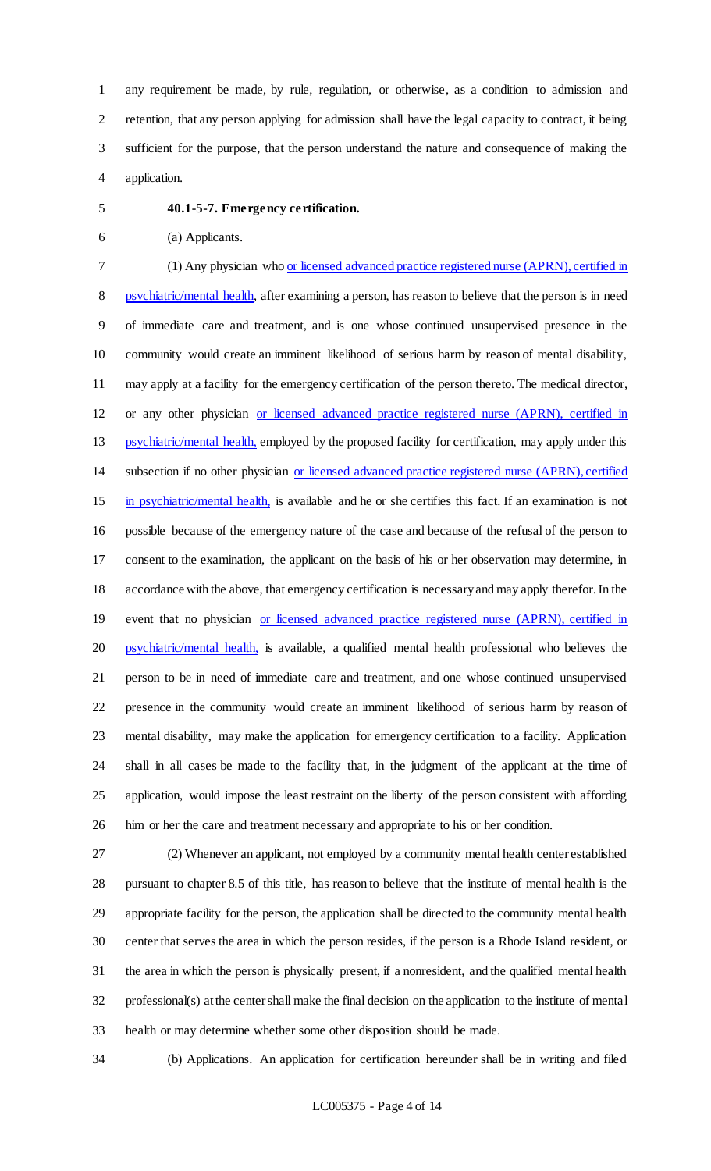any requirement be made, by rule, regulation, or otherwise, as a condition to admission and retention, that any person applying for admission shall have the legal capacity to contract, it being sufficient for the purpose, that the person understand the nature and consequence of making the application.

#### **40.1-5-7. Emergency certification.**

- (a) Applicants.
- 

 (1) Any physician who or licensed advanced practice registered nurse (APRN), certified in psychiatric/mental health, after examining a person, has reason to believe that the person is in need of immediate care and treatment, and is one whose continued unsupervised presence in the community would create an imminent likelihood of serious harm by reason of mental disability, may apply at a facility for the emergency certification of the person thereto. The medical director, or any other physician or licensed advanced practice registered nurse (APRN), certified in 13 psychiatric/mental health, employed by the proposed facility for certification, may apply under this subsection if no other physician or licensed advanced practice registered nurse (APRN), certified in psychiatric/mental health, is available and he or she certifies this fact. If an examination is not possible because of the emergency nature of the case and because of the refusal of the person to consent to the examination, the applicant on the basis of his or her observation may determine, in accordance with the above, that emergency certification is necessary and may apply therefor. In the 19 event that no physician or licensed advanced practice registered nurse (APRN), certified in 20 psychiatric/mental health, is available, a qualified mental health professional who believes the person to be in need of immediate care and treatment, and one whose continued unsupervised presence in the community would create an imminent likelihood of serious harm by reason of mental disability, may make the application for emergency certification to a facility. Application

 shall in all cases be made to the facility that, in the judgment of the applicant at the time of application, would impose the least restraint on the liberty of the person consistent with affording him or her the care and treatment necessary and appropriate to his or her condition.

 (2) Whenever an applicant, not employed by a community mental health center established pursuant to chapter 8.5 of this title, has reason to believe that the institute of mental health is the appropriate facility for the person, the application shall be directed to the community mental health center that serves the area in which the person resides, if the person is a Rhode Island resident, or the area in which the person is physically present, if a nonresident, and the qualified mental health professional(s) at the center shall make the final decision on the application to the institute of mental health or may determine whether some other disposition should be made.

(b) Applications. An application for certification hereunder shall be in writing and filed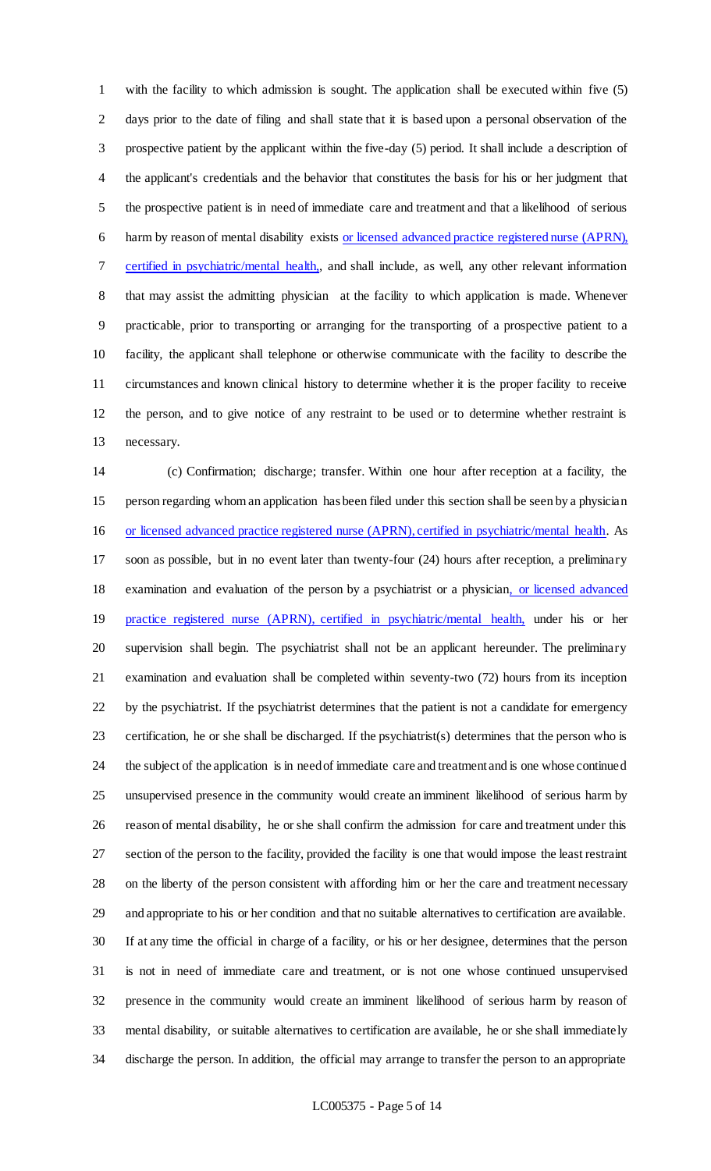with the facility to which admission is sought. The application shall be executed within five (5) days prior to the date of filing and shall state that it is based upon a personal observation of the prospective patient by the applicant within the five-day (5) period. It shall include a description of the applicant's credentials and the behavior that constitutes the basis for his or her judgment that the prospective patient is in need of immediate care and treatment and that a likelihood of serious harm by reason of mental disability exists or licensed advanced practice registered nurse (APRN), certified in psychiatric/mental health,, and shall include, as well, any other relevant information that may assist the admitting physician at the facility to which application is made. Whenever practicable, prior to transporting or arranging for the transporting of a prospective patient to a facility, the applicant shall telephone or otherwise communicate with the facility to describe the circumstances and known clinical history to determine whether it is the proper facility to receive the person, and to give notice of any restraint to be used or to determine whether restraint is necessary.

 (c) Confirmation; discharge; transfer. Within one hour after reception at a facility, the person regarding whom an application has been filed under this section shall be seen by a physician or licensed advanced practice registered nurse (APRN), certified in psychiatric/mental health. As soon as possible, but in no event later than twenty-four (24) hours after reception, a preliminary 18 examination and evaluation of the person by a psychiatrist or a physician, or licensed advanced 19 practice registered nurse (APRN), certified in psychiatric/mental health, under his or her supervision shall begin. The psychiatrist shall not be an applicant hereunder. The preliminary examination and evaluation shall be completed within seventy-two (72) hours from its inception by the psychiatrist. If the psychiatrist determines that the patient is not a candidate for emergency certification, he or she shall be discharged. If the psychiatrist(s) determines that the person who is the subject of the application is in need of immediate care and treatment and is one whose continued unsupervised presence in the community would create an imminent likelihood of serious harm by reason of mental disability, he or she shall confirm the admission for care and treatment under this section of the person to the facility, provided the facility is one that would impose the least restraint on the liberty of the person consistent with affording him or her the care and treatment necessary and appropriate to his or her condition and that no suitable alternatives to certification are available. If at any time the official in charge of a facility, or his or her designee, determines that the person is not in need of immediate care and treatment, or is not one whose continued unsupervised presence in the community would create an imminent likelihood of serious harm by reason of mental disability, or suitable alternatives to certification are available, he or she shall immediately discharge the person. In addition, the official may arrange to transfer the person to an appropriate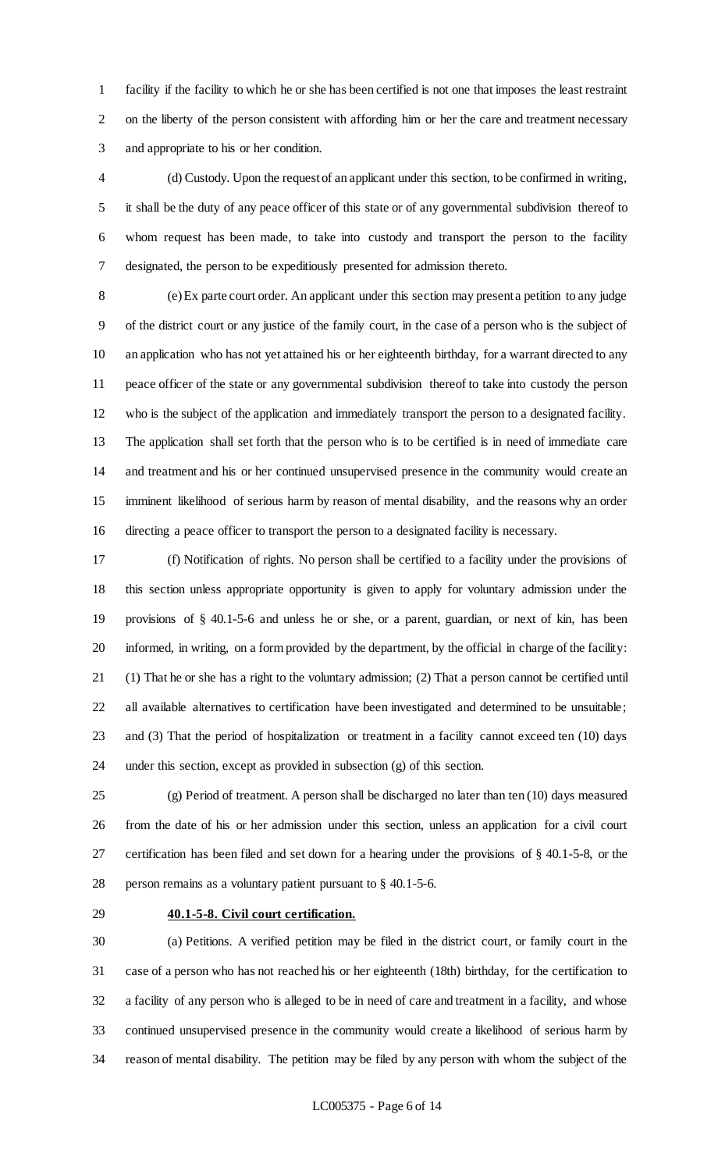facility if the facility to which he or she has been certified is not one that imposes the least restraint on the liberty of the person consistent with affording him or her the care and treatment necessary and appropriate to his or her condition.

 (d) Custody. Upon the request of an applicant under this section, to be confirmed in writing, it shall be the duty of any peace officer of this state or of any governmental subdivision thereof to whom request has been made, to take into custody and transport the person to the facility designated, the person to be expeditiously presented for admission thereto.

 (e) Ex parte court order. An applicant under this section may present a petition to any judge of the district court or any justice of the family court, in the case of a person who is the subject of an application who has not yet attained his or her eighteenth birthday, for a warrant directed to any peace officer of the state or any governmental subdivision thereof to take into custody the person who is the subject of the application and immediately transport the person to a designated facility. The application shall set forth that the person who is to be certified is in need of immediate care and treatment and his or her continued unsupervised presence in the community would create an imminent likelihood of serious harm by reason of mental disability, and the reasons why an order directing a peace officer to transport the person to a designated facility is necessary.

 (f) Notification of rights. No person shall be certified to a facility under the provisions of this section unless appropriate opportunity is given to apply for voluntary admission under the provisions of § 40.1-5-6 and unless he or she, or a parent, guardian, or next of kin, has been informed, in writing, on a form provided by the department, by the official in charge of the facility: (1) That he or she has a right to the voluntary admission; (2) That a person cannot be certified until all available alternatives to certification have been investigated and determined to be unsuitable; and (3) That the period of hospitalization or treatment in a facility cannot exceed ten (10) days under this section, except as provided in subsection (g) of this section.

 (g) Period of treatment. A person shall be discharged no later than ten (10) days measured from the date of his or her admission under this section, unless an application for a civil court certification has been filed and set down for a hearing under the provisions of § 40.1-5-8, or the person remains as a voluntary patient pursuant to § 40.1-5-6.

#### **40.1-5-8. Civil court certification.**

 (a) Petitions. A verified petition may be filed in the district court, or family court in the case of a person who has not reached his or her eighteenth (18th) birthday, for the certification to a facility of any person who is alleged to be in need of care and treatment in a facility, and whose continued unsupervised presence in the community would create a likelihood of serious harm by reason of mental disability. The petition may be filed by any person with whom the subject of the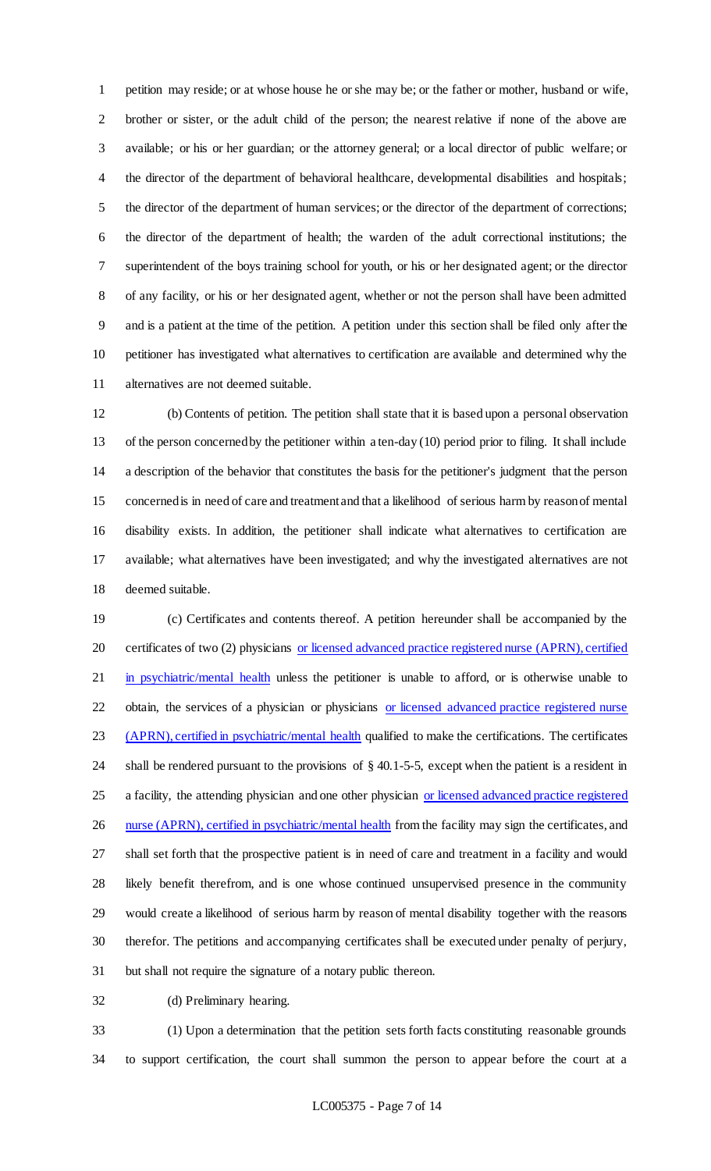petition may reside; or at whose house he or she may be; or the father or mother, husband or wife, brother or sister, or the adult child of the person; the nearest relative if none of the above are available; or his or her guardian; or the attorney general; or a local director of public welfare; or the director of the department of behavioral healthcare, developmental disabilities and hospitals; the director of the department of human services; or the director of the department of corrections; the director of the department of health; the warden of the adult correctional institutions; the superintendent of the boys training school for youth, or his or her designated agent; or the director of any facility, or his or her designated agent, whether or not the person shall have been admitted and is a patient at the time of the petition. A petition under this section shall be filed only after the petitioner has investigated what alternatives to certification are available and determined why the alternatives are not deemed suitable.

 (b) Contents of petition. The petition shall state that it is based upon a personal observation of the person concerned by the petitioner within a ten-day (10) period prior to filing. It shall include a description of the behavior that constitutes the basis for the petitioner's judgment that the person concerned is in need of care and treatment and that a likelihood of serious harm by reason of mental disability exists. In addition, the petitioner shall indicate what alternatives to certification are available; what alternatives have been investigated; and why the investigated alternatives are not deemed suitable.

 (c) Certificates and contents thereof. A petition hereunder shall be accompanied by the 20 certificates of two (2) physicians or licensed advanced practice registered nurse (APRN), certified 21 in psychiatric/mental health unless the petitioner is unable to afford, or is otherwise unable to 22 obtain, the services of a physician or physicians or licensed advanced practice registered nurse 23 (APRN), certified in psychiatric/mental health qualified to make the certifications. The certificates shall be rendered pursuant to the provisions of § 40.1-5-5, except when the patient is a resident in 25 a facility, the attending physician and one other physician or licensed advanced practice registered 26 nurse (APRN), certified in psychiatric/mental health from the facility may sign the certificates, and shall set forth that the prospective patient is in need of care and treatment in a facility and would likely benefit therefrom, and is one whose continued unsupervised presence in the community would create a likelihood of serious harm by reason of mental disability together with the reasons therefor. The petitions and accompanying certificates shall be executed under penalty of perjury, but shall not require the signature of a notary public thereon.

(d) Preliminary hearing.

 (1) Upon a determination that the petition sets forth facts constituting reasonable grounds to support certification, the court shall summon the person to appear before the court at a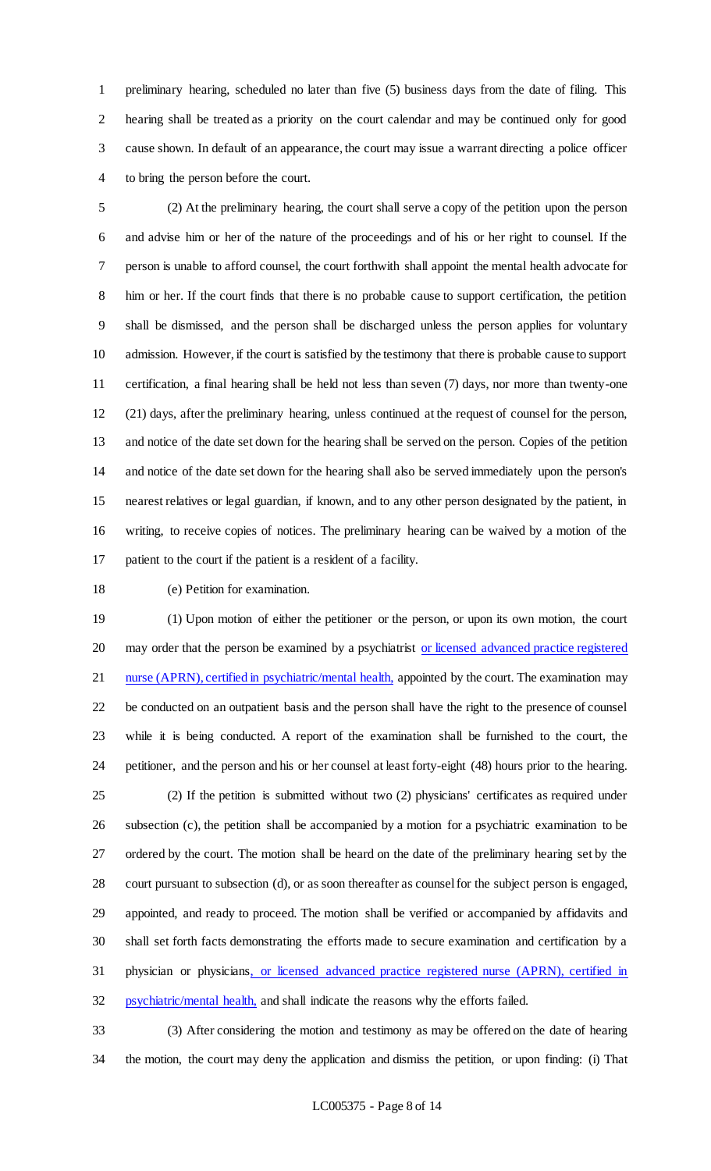preliminary hearing, scheduled no later than five (5) business days from the date of filing. This hearing shall be treated as a priority on the court calendar and may be continued only for good cause shown. In default of an appearance, the court may issue a warrant directing a police officer to bring the person before the court.

 (2) At the preliminary hearing, the court shall serve a copy of the petition upon the person and advise him or her of the nature of the proceedings and of his or her right to counsel. If the person is unable to afford counsel, the court forthwith shall appoint the mental health advocate for him or her. If the court finds that there is no probable cause to support certification, the petition shall be dismissed, and the person shall be discharged unless the person applies for voluntary admission. However, if the court is satisfied by the testimony that there is probable cause to support certification, a final hearing shall be held not less than seven (7) days, nor more than twenty-one (21) days, after the preliminary hearing, unless continued at the request of counsel for the person, and notice of the date set down for the hearing shall be served on the person. Copies of the petition and notice of the date set down for the hearing shall also be served immediately upon the person's nearest relatives or legal guardian, if known, and to any other person designated by the patient, in writing, to receive copies of notices. The preliminary hearing can be waived by a motion of the patient to the court if the patient is a resident of a facility.

#### (e) Petition for examination.

 (1) Upon motion of either the petitioner or the person, or upon its own motion, the court 20 may order that the person be examined by a psychiatrist or licensed advanced practice registered 21 nurse (APRN), certified in psychiatric/mental health, appointed by the court. The examination may be conducted on an outpatient basis and the person shall have the right to the presence of counsel while it is being conducted. A report of the examination shall be furnished to the court, the petitioner, and the person and his or her counsel at least forty-eight (48) hours prior to the hearing. (2) If the petition is submitted without two (2) physicians' certificates as required under subsection (c), the petition shall be accompanied by a motion for a psychiatric examination to be ordered by the court. The motion shall be heard on the date of the preliminary hearing set by the court pursuant to subsection (d), or as soon thereafter as counsel for the subject person is engaged, appointed, and ready to proceed. The motion shall be verified or accompanied by affidavits and shall set forth facts demonstrating the efforts made to secure examination and certification by a physician or physicians, or licensed advanced practice registered nurse (APRN), certified in psychiatric/mental health, and shall indicate the reasons why the efforts failed.

 (3) After considering the motion and testimony as may be offered on the date of hearing the motion, the court may deny the application and dismiss the petition, or upon finding: (i) That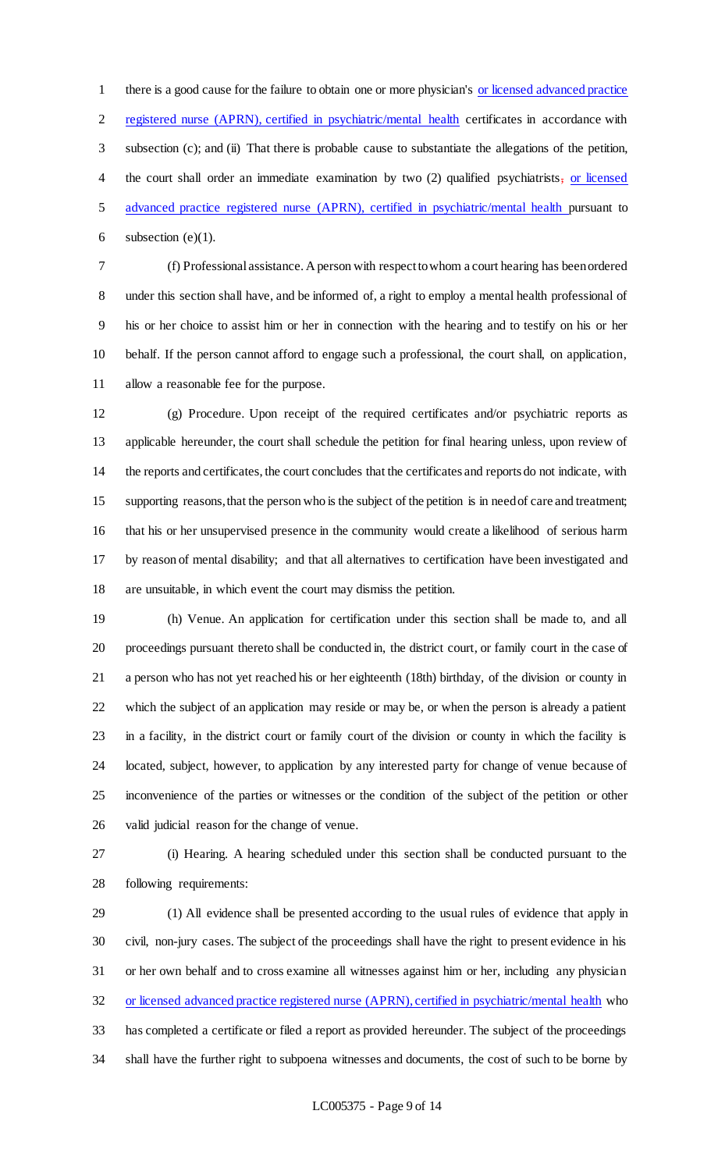there is a good cause for the failure to obtain one or more physician's or licensed advanced practice registered nurse (APRN), certified in psychiatric/mental health certificates in accordance with subsection (c); and (ii) That there is probable cause to substantiate the allegations of the petition, the court shall order an immediate examination by two (2) qualified psychiatrists, or licensed advanced practice registered nurse (APRN), certified in psychiatric/mental health pursuant to 6 subsection  $(e)(1)$ .

 (f) Professional assistance. A person with respect to whom a court hearing has been ordered under this section shall have, and be informed of, a right to employ a mental health professional of his or her choice to assist him or her in connection with the hearing and to testify on his or her behalf. If the person cannot afford to engage such a professional, the court shall, on application, allow a reasonable fee for the purpose.

 (g) Procedure. Upon receipt of the required certificates and/or psychiatric reports as applicable hereunder, the court shall schedule the petition for final hearing unless, upon review of the reports and certificates, the court concludes that the certificates and reports do not indicate, with supporting reasons, that the person who is the subject of the petition is in need of care and treatment; that his or her unsupervised presence in the community would create a likelihood of serious harm by reason of mental disability; and that all alternatives to certification have been investigated and are unsuitable, in which event the court may dismiss the petition.

 (h) Venue. An application for certification under this section shall be made to, and all proceedings pursuant thereto shall be conducted in, the district court, or family court in the case of a person who has not yet reached his or her eighteenth (18th) birthday, of the division or county in which the subject of an application may reside or may be, or when the person is already a patient in a facility, in the district court or family court of the division or county in which the facility is located, subject, however, to application by any interested party for change of venue because of inconvenience of the parties or witnesses or the condition of the subject of the petition or other valid judicial reason for the change of venue.

 (i) Hearing. A hearing scheduled under this section shall be conducted pursuant to the following requirements:

 (1) All evidence shall be presented according to the usual rules of evidence that apply in civil, non-jury cases. The subject of the proceedings shall have the right to present evidence in his or her own behalf and to cross examine all witnesses against him or her, including any physician or licensed advanced practice registered nurse (APRN), certified in psychiatric/mental health who has completed a certificate or filed a report as provided hereunder. The subject of the proceedings shall have the further right to subpoena witnesses and documents, the cost of such to be borne by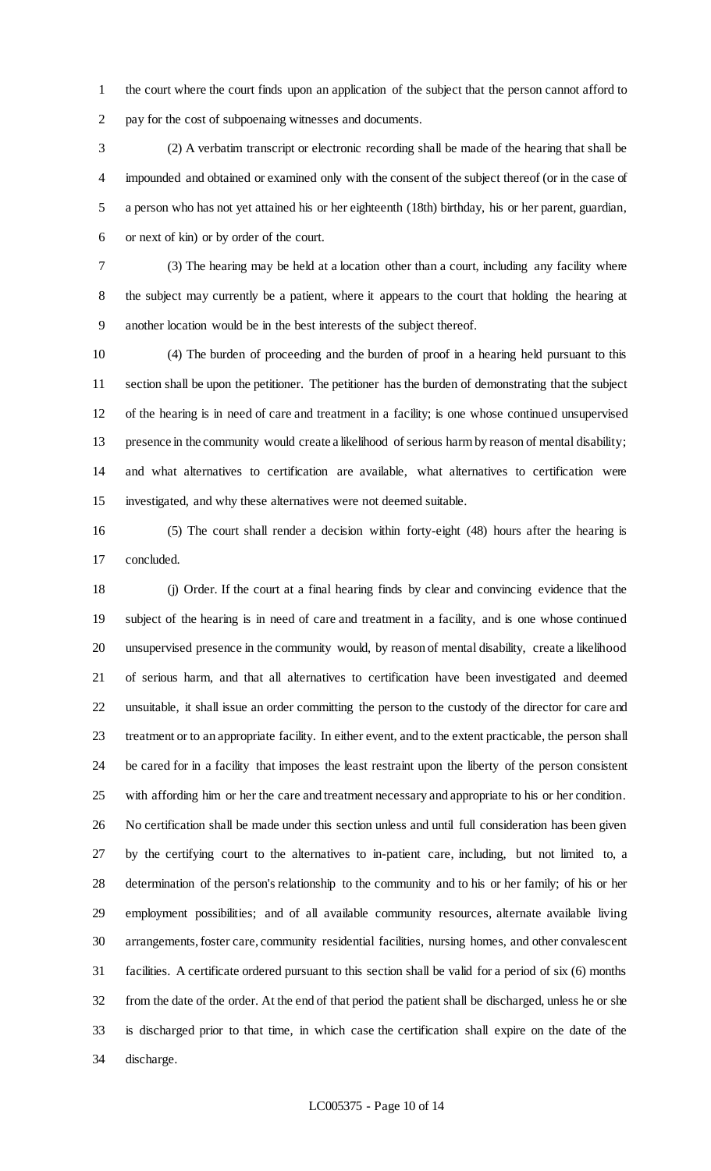the court where the court finds upon an application of the subject that the person cannot afford to pay for the cost of subpoenaing witnesses and documents.

 (2) A verbatim transcript or electronic recording shall be made of the hearing that shall be impounded and obtained or examined only with the consent of the subject thereof (or in the case of a person who has not yet attained his or her eighteenth (18th) birthday, his or her parent, guardian, or next of kin) or by order of the court.

 (3) The hearing may be held at a location other than a court, including any facility where the subject may currently be a patient, where it appears to the court that holding the hearing at another location would be in the best interests of the subject thereof.

 (4) The burden of proceeding and the burden of proof in a hearing held pursuant to this section shall be upon the petitioner. The petitioner has the burden of demonstrating that the subject of the hearing is in need of care and treatment in a facility; is one whose continued unsupervised presence in the community would create a likelihood of serious harm by reason of mental disability; and what alternatives to certification are available, what alternatives to certification were investigated, and why these alternatives were not deemed suitable.

 (5) The court shall render a decision within forty-eight (48) hours after the hearing is concluded.

 (j) Order. If the court at a final hearing finds by clear and convincing evidence that the subject of the hearing is in need of care and treatment in a facility, and is one whose continued unsupervised presence in the community would, by reason of mental disability, create a likelihood of serious harm, and that all alternatives to certification have been investigated and deemed unsuitable, it shall issue an order committing the person to the custody of the director for care and treatment or to an appropriate facility. In either event, and to the extent practicable, the person shall be cared for in a facility that imposes the least restraint upon the liberty of the person consistent with affording him or her the care and treatment necessary and appropriate to his or her condition. No certification shall be made under this section unless and until full consideration has been given by the certifying court to the alternatives to in-patient care, including, but not limited to, a determination of the person's relationship to the community and to his or her family; of his or her employment possibilities; and of all available community resources, alternate available living arrangements, foster care, community residential facilities, nursing homes, and other convalescent facilities. A certificate ordered pursuant to this section shall be valid for a period of six (6) months from the date of the order. At the end of that period the patient shall be discharged, unless he or she is discharged prior to that time, in which case the certification shall expire on the date of the discharge.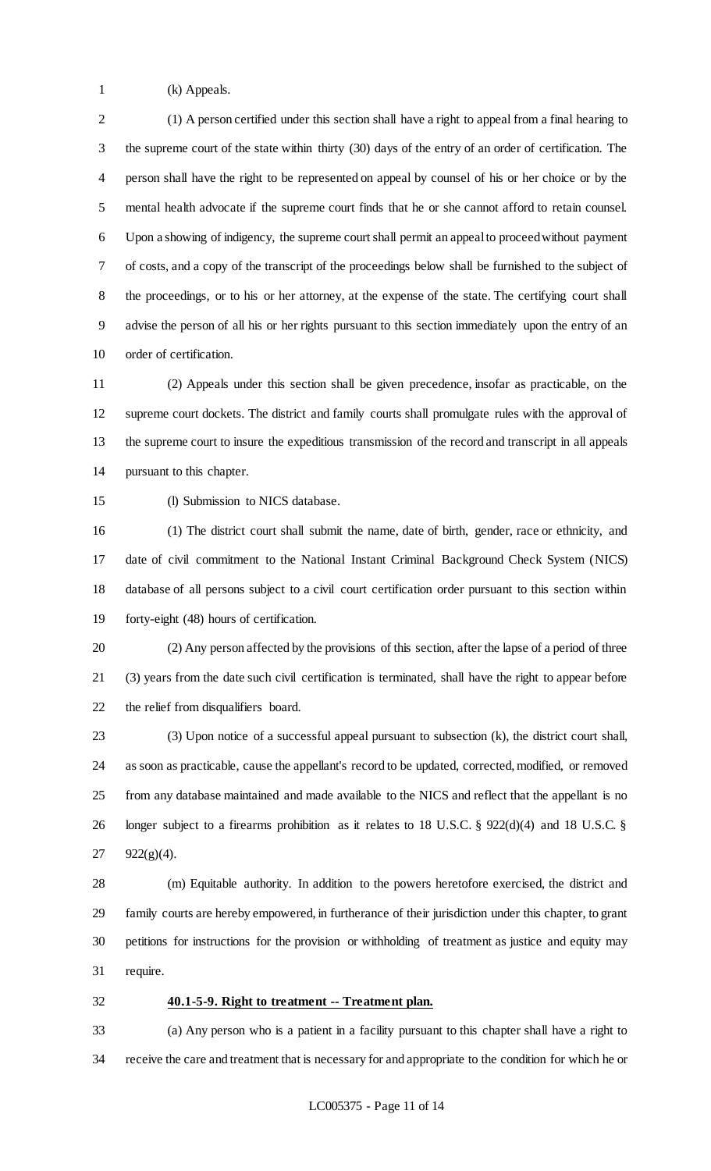(k) Appeals.

 (1) A person certified under this section shall have a right to appeal from a final hearing to the supreme court of the state within thirty (30) days of the entry of an order of certification. The person shall have the right to be represented on appeal by counsel of his or her choice or by the mental health advocate if the supreme court finds that he or she cannot afford to retain counsel. Upon a showing of indigency, the supreme court shall permit an appeal to proceed without payment of costs, and a copy of the transcript of the proceedings below shall be furnished to the subject of the proceedings, or to his or her attorney, at the expense of the state. The certifying court shall advise the person of all his or her rights pursuant to this section immediately upon the entry of an order of certification.

 (2) Appeals under this section shall be given precedence, insofar as practicable, on the supreme court dockets. The district and family courts shall promulgate rules with the approval of the supreme court to insure the expeditious transmission of the record and transcript in all appeals pursuant to this chapter.

(l) Submission to NICS database.

 (1) The district court shall submit the name, date of birth, gender, race or ethnicity, and date of civil commitment to the National Instant Criminal Background Check System (NICS) database of all persons subject to a civil court certification order pursuant to this section within forty-eight (48) hours of certification.

 (2) Any person affected by the provisions of this section, after the lapse of a period of three (3) years from the date such civil certification is terminated, shall have the right to appear before the relief from disqualifiers board.

 (3) Upon notice of a successful appeal pursuant to subsection (k), the district court shall, as soon as practicable, cause the appellant's record to be updated, corrected, modified, or removed from any database maintained and made available to the NICS and reflect that the appellant is no longer subject to a firearms prohibition as it relates to 18 U.S.C. § 922(d)(4) and 18 U.S.C. § 922(g)(4).

 (m) Equitable authority. In addition to the powers heretofore exercised, the district and family courts are hereby empowered, in furtherance of their jurisdiction under this chapter, to grant petitions for instructions for the provision or withholding of treatment as justice and equity may require.

**40.1-5-9. Right to treatment -- Treatment plan.**

 (a) Any person who is a patient in a facility pursuant to this chapter shall have a right to receive the care and treatment that is necessary for and appropriate to the condition for which he or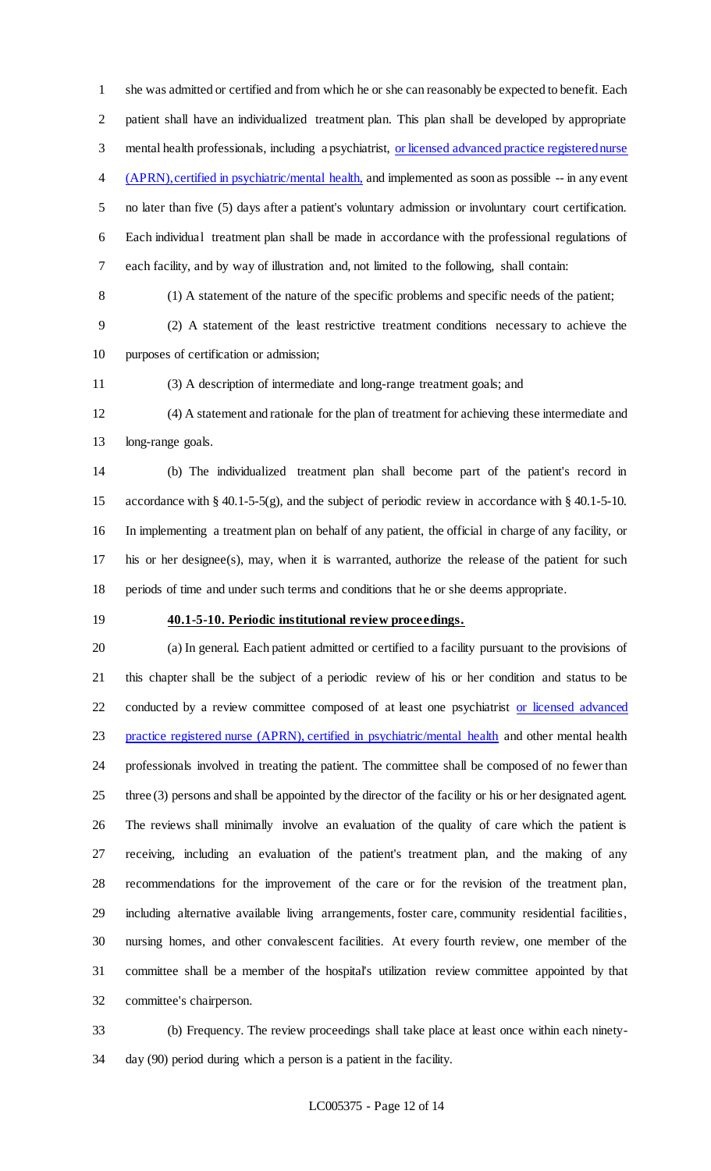she was admitted or certified and from which he or she can reasonably be expected to benefit. Each patient shall have an individualized treatment plan. This plan shall be developed by appropriate mental health professionals, including a psychiatrist, or licensed advanced practice registered nurse 4 (APRN), certified in psychiatric/mental health, and implemented as soon as possible -- in any event no later than five (5) days after a patient's voluntary admission or involuntary court certification. Each individual treatment plan shall be made in accordance with the professional regulations of each facility, and by way of illustration and, not limited to the following, shall contain:

(1) A statement of the nature of the specific problems and specific needs of the patient;

 (2) A statement of the least restrictive treatment conditions necessary to achieve the purposes of certification or admission;

(3) A description of intermediate and long-range treatment goals; and

 (4) A statement and rationale for the plan of treatment for achieving these intermediate and long-range goals.

 (b) The individualized treatment plan shall become part of the patient's record in accordance with § 40.1-5-5(g), and the subject of periodic review in accordance with § 40.1-5-10. In implementing a treatment plan on behalf of any patient, the official in charge of any facility, or his or her designee(s), may, when it is warranted, authorize the release of the patient for such periods of time and under such terms and conditions that he or she deems appropriate.

#### **40.1-5-10. Periodic institutional review proceedings.**

 (a) In general. Each patient admitted or certified to a facility pursuant to the provisions of this chapter shall be the subject of a periodic review of his or her condition and status to be 22 conducted by a review committee composed of at least one psychiatrist or licensed advanced 23 practice registered nurse (APRN), certified in psychiatric/mental health and other mental health professionals involved in treating the patient. The committee shall be composed of no fewer than three (3) persons and shall be appointed by the director of the facility or his or her designated agent. The reviews shall minimally involve an evaluation of the quality of care which the patient is receiving, including an evaluation of the patient's treatment plan, and the making of any recommendations for the improvement of the care or for the revision of the treatment plan, including alternative available living arrangements, foster care, community residential facilities, nursing homes, and other convalescent facilities. At every fourth review, one member of the committee shall be a member of the hospital's utilization review committee appointed by that committee's chairperson.

 (b) Frequency. The review proceedings shall take place at least once within each ninety-day (90) period during which a person is a patient in the facility.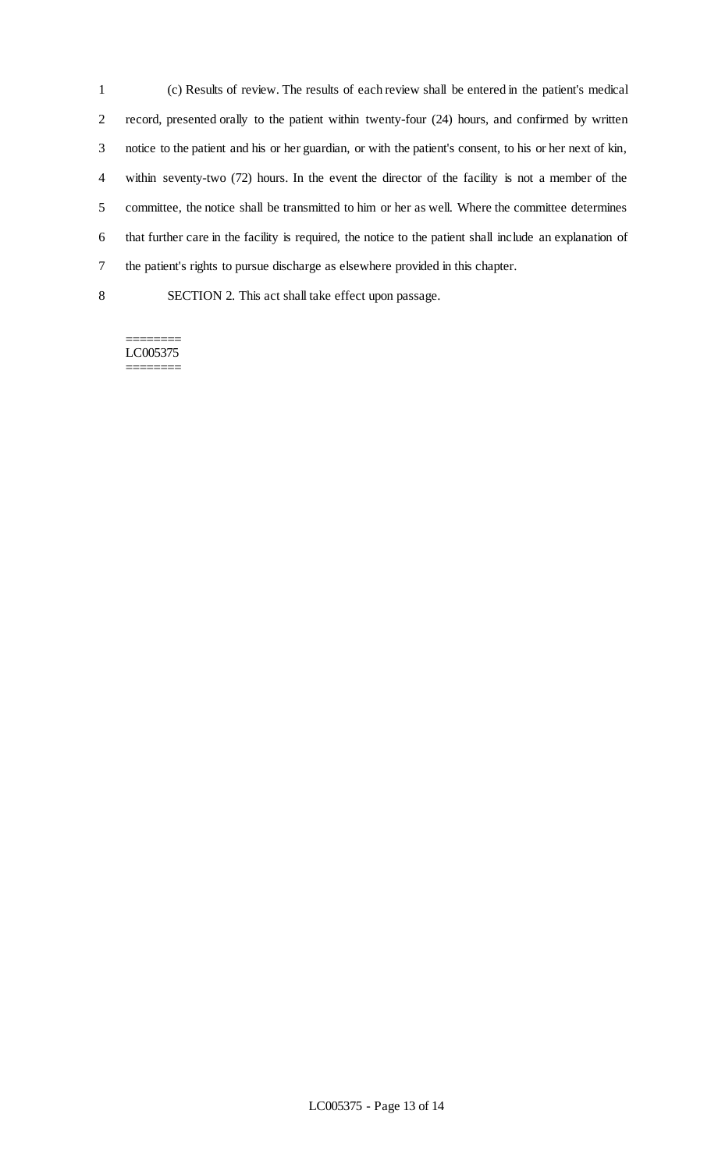(c) Results of review. The results of each review shall be entered in the patient's medical record, presented orally to the patient within twenty-four (24) hours, and confirmed by written notice to the patient and his or her guardian, or with the patient's consent, to his or her next of kin, within seventy-two (72) hours. In the event the director of the facility is not a member of the committee, the notice shall be transmitted to him or her as well. Where the committee determines that further care in the facility is required, the notice to the patient shall include an explanation of the patient's rights to pursue discharge as elsewhere provided in this chapter.

SECTION 2. This act shall take effect upon passage.

======== LC005375 ========